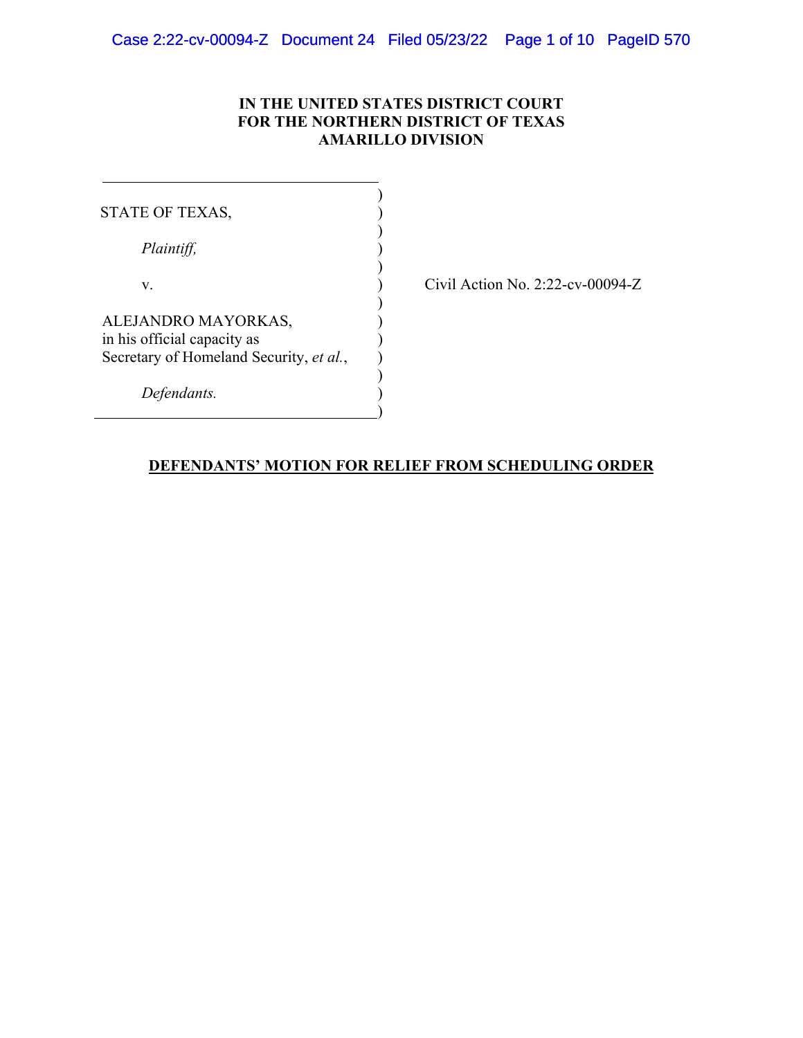# **IN THE UNITED STATES DISTRICT COURT FOR THE NORTHERN DISTRICT OF TEXAS AMARILLO DIVISION**

÷.

| STATE OF TEXAS,                                    |  |
|----------------------------------------------------|--|
| Plaintiff,                                         |  |
| V.                                                 |  |
| ALEJANDRO MAYORKAS,<br>in his official capacity as |  |
| Secretary of Homeland Security, et al.,            |  |
| Defendants.                                        |  |

Civil Action No. 2:22-cv-00094-Z

# **DEFENDANTS' MOTION FOR RELIEF FROM SCHEDULING ORDER**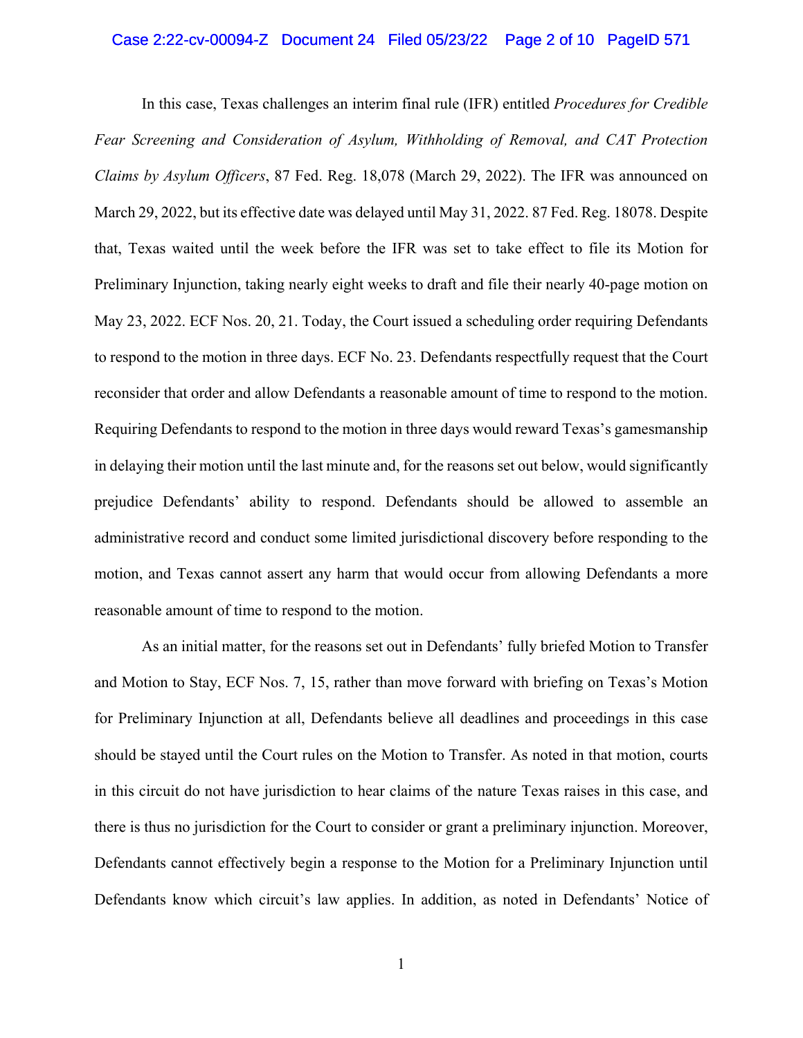#### Case 2:22-cv-00094-Z Document 24 Filed 05/23/22 Page 2 of 10 PageID 571

 In this case, Texas challenges an interim final rule (IFR) entitled *Procedures for Credible Fear Screening and Consideration of Asylum, Withholding of Removal, and CAT Protection Claims by Asylum Officers*, 87 Fed. Reg. 18,078 (March 29, 2022). The IFR was announced on March 29, 2022, but its effective date was delayed until May 31, 2022. 87 Fed. Reg. 18078. Despite that, Texas waited until the week before the IFR was set to take effect to file its Motion for Preliminary Injunction, taking nearly eight weeks to draft and file their nearly 40-page motion on May 23, 2022. ECF Nos. 20, 21. Today, the Court issued a scheduling order requiring Defendants to respond to the motion in three days. ECF No. 23. Defendants respectfully request that the Court reconsider that order and allow Defendants a reasonable amount of time to respond to the motion. Requiring Defendants to respond to the motion in three days would reward Texas's gamesmanship in delaying their motion until the last minute and, for the reasons set out below, would significantly prejudice Defendants' ability to respond. Defendants should be allowed to assemble an administrative record and conduct some limited jurisdictional discovery before responding to the motion, and Texas cannot assert any harm that would occur from allowing Defendants a more reasonable amount of time to respond to the motion.

As an initial matter, for the reasons set out in Defendants' fully briefed Motion to Transfer and Motion to Stay, ECF Nos. 7, 15, rather than move forward with briefing on Texas's Motion for Preliminary Injunction at all, Defendants believe all deadlines and proceedings in this case should be stayed until the Court rules on the Motion to Transfer. As noted in that motion, courts in this circuit do not have jurisdiction to hear claims of the nature Texas raises in this case, and there is thus no jurisdiction for the Court to consider or grant a preliminary injunction. Moreover, Defendants cannot effectively begin a response to the Motion for a Preliminary Injunction until Defendants know which circuit's law applies. In addition, as noted in Defendants' Notice of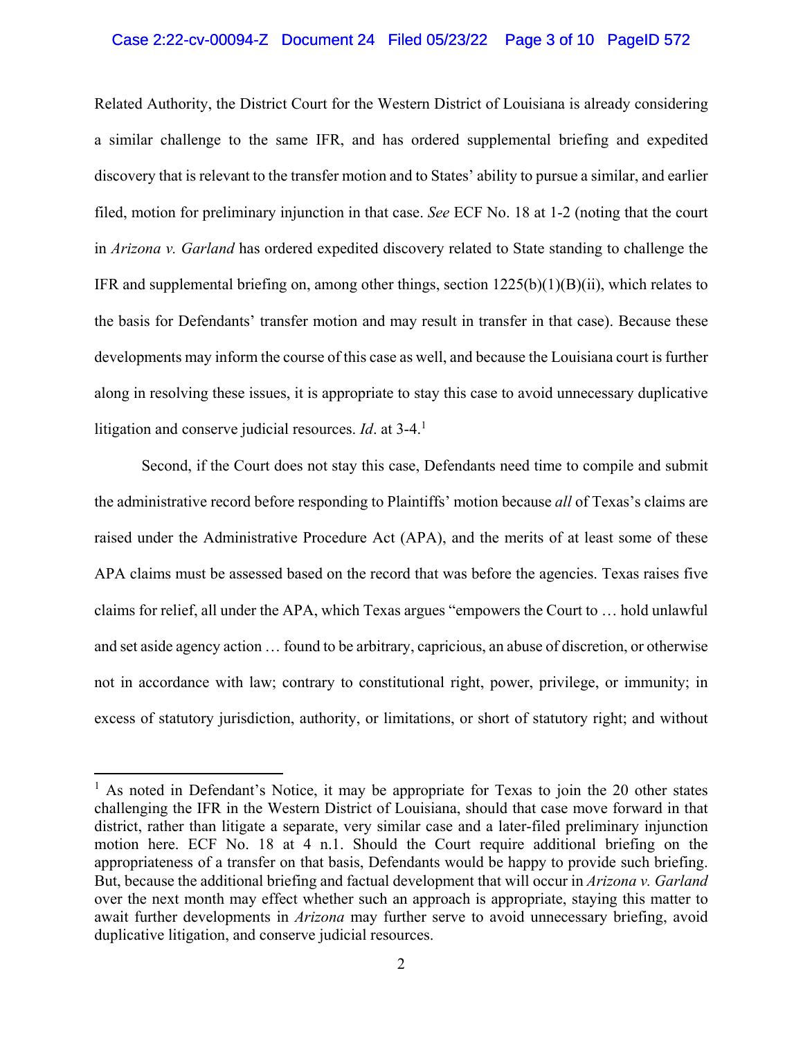## Case 2:22-cv-00094-Z Document 24 Filed 05/23/22 Page 3 of 10 PageID 572

Related Authority, the District Court for the Western District of Louisiana is already considering a similar challenge to the same IFR, and has ordered supplemental briefing and expedited discovery that is relevant to the transfer motion and to States' ability to pursue a similar, and earlier filed, motion for preliminary injunction in that case. *See* ECF No. 18 at 1-2 (noting that the court in *Arizona v. Garland* has ordered expedited discovery related to State standing to challenge the IFR and supplemental briefing on, among other things, section 1225(b)(1)(B)(ii), which relates to the basis for Defendants' transfer motion and may result in transfer in that case). Because these developments may inform the course of this case as well, and because the Louisiana court is further along in resolving these issues, it is appropriate to stay this case to avoid unnecessary duplicative litigation and conserve judicial resources. *Id*. at 3-4.<sup>1</sup>

Second, if the Court does not stay this case, Defendants need time to compile and submit the administrative record before responding to Plaintiffs' motion because *all* of Texas's claims are raised under the Administrative Procedure Act (APA), and the merits of at least some of these APA claims must be assessed based on the record that was before the agencies. Texas raises five claims for relief, all under the APA, which Texas argues "empowers the Court to … hold unlawful and set aside agency action … found to be arbitrary, capricious, an abuse of discretion, or otherwise not in accordance with law; contrary to constitutional right, power, privilege, or immunity; in excess of statutory jurisdiction, authority, or limitations, or short of statutory right; and without

 $\overline{a}$ 

<sup>&</sup>lt;sup>1</sup> As noted in Defendant's Notice, it may be appropriate for Texas to join the 20 other states challenging the IFR in the Western District of Louisiana, should that case move forward in that district, rather than litigate a separate, very similar case and a later-filed preliminary injunction motion here. ECF No. 18 at 4 n.1. Should the Court require additional briefing on the appropriateness of a transfer on that basis, Defendants would be happy to provide such briefing. But, because the additional briefing and factual development that will occur in *Arizona v. Garland* over the next month may effect whether such an approach is appropriate, staying this matter to await further developments in *Arizona* may further serve to avoid unnecessary briefing, avoid duplicative litigation, and conserve judicial resources.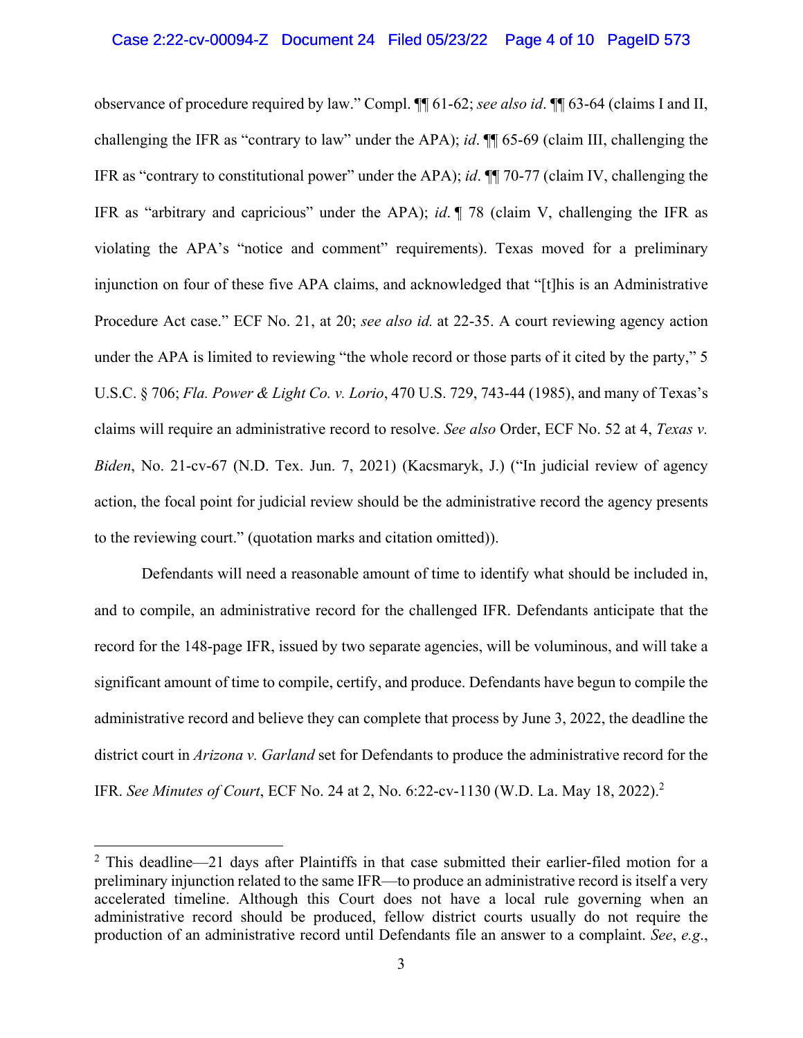## Case 2:22-cv-00094-Z Document 24 Filed 05/23/22 Page 4 of 10 PageID 573

observance of procedure required by law." Compl. ¶¶ 61-62; *see also id*. ¶¶ 63-64 (claims I and II, challenging the IFR as "contrary to law" under the APA); *id*. ¶¶ 65-69 (claim III, challenging the IFR as "contrary to constitutional power" under the APA); *id*. ¶¶ 70-77 (claim IV, challenging the IFR as "arbitrary and capricious" under the APA); *id*. ¶ 78 (claim V, challenging the IFR as violating the APA's "notice and comment" requirements). Texas moved for a preliminary injunction on four of these five APA claims, and acknowledged that "[t]his is an Administrative Procedure Act case." ECF No. 21, at 20; *see also id.* at 22-35. A court reviewing agency action under the APA is limited to reviewing "the whole record or those parts of it cited by the party," 5 U.S.C. § 706; *Fla. Power & Light Co. v. Lorio*, 470 U.S. 729, 743-44 (1985), and many of Texas's claims will require an administrative record to resolve. *See also* Order, ECF No. 52 at 4, *Texas v. Biden*, No. 21-cv-67 (N.D. Tex. Jun. 7, 2021) (Kacsmaryk, J.) ("In judicial review of agency action, the focal point for judicial review should be the administrative record the agency presents to the reviewing court." (quotation marks and citation omitted)).

Defendants will need a reasonable amount of time to identify what should be included in, and to compile, an administrative record for the challenged IFR. Defendants anticipate that the record for the 148-page IFR, issued by two separate agencies, will be voluminous, and will take a significant amount of time to compile, certify, and produce. Defendants have begun to compile the administrative record and believe they can complete that process by June 3, 2022, the deadline the district court in *Arizona v. Garland* set for Defendants to produce the administrative record for the IFR. *See Minutes of Court*, ECF No. 24 at 2, No. 6:22-cv-1130 (W.D. La. May 18, 2022).2

<u>.</u>

 $2$  This deadline—21 days after Plaintiffs in that case submitted their earlier-filed motion for a preliminary injunction related to the same IFR—to produce an administrative record is itself a very accelerated timeline. Although this Court does not have a local rule governing when an administrative record should be produced, fellow district courts usually do not require the production of an administrative record until Defendants file an answer to a complaint. *See*, *e.g*.,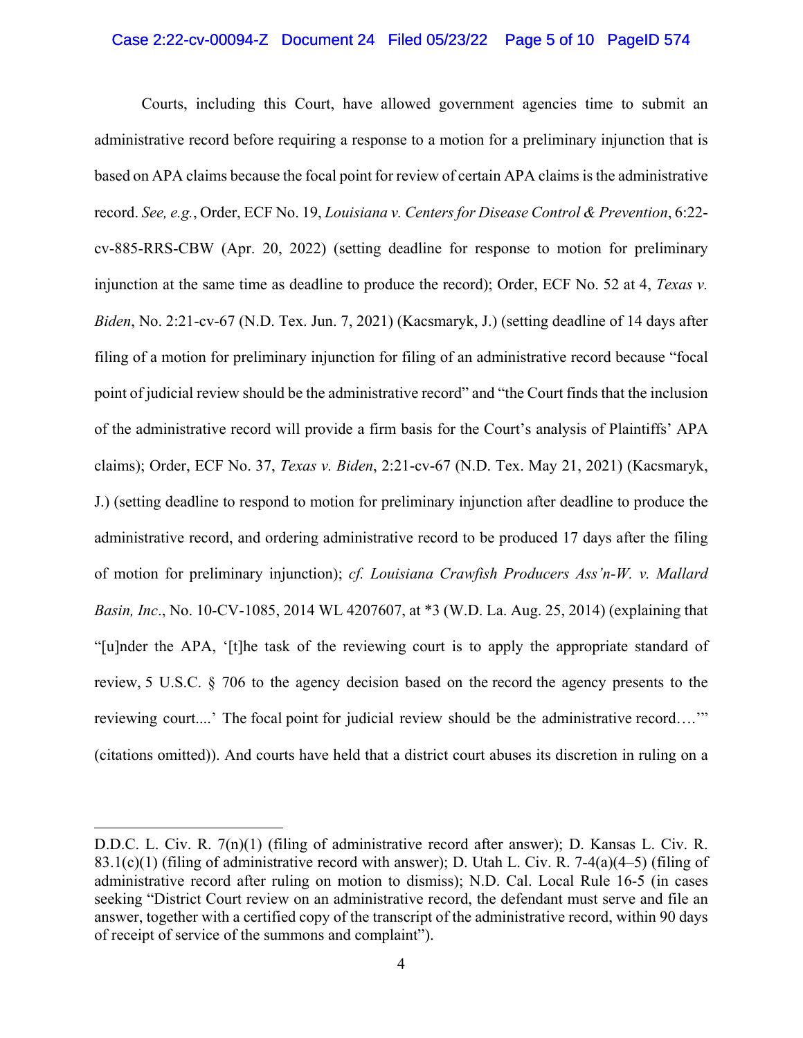## Case 2:22-cv-00094-Z Document 24 Filed 05/23/22 Page 5 of 10 PageID 574

Courts, including this Court, have allowed government agencies time to submit an administrative record before requiring a response to a motion for a preliminary injunction that is based on APA claims because the focal point for review of certain APA claims is the administrative record. *See, e.g.*, Order, ECF No. 19, *Louisiana v. Centers for Disease Control & Prevention*, 6:22 cv-885-RRS-CBW (Apr. 20, 2022) (setting deadline for response to motion for preliminary injunction at the same time as deadline to produce the record); Order, ECF No. 52 at 4, *Texas v. Biden*, No. 2:21-cv-67 (N.D. Tex. Jun. 7, 2021) (Kacsmaryk, J.) (setting deadline of 14 days after filing of a motion for preliminary injunction for filing of an administrative record because "focal point of judicial review should be the administrative record" and "the Court finds that the inclusion of the administrative record will provide a firm basis for the Court's analysis of Plaintiffs' APA claims); Order, ECF No. 37, *Texas v. Biden*, 2:21-cv-67 (N.D. Tex. May 21, 2021) (Kacsmaryk, J.) (setting deadline to respond to motion for preliminary injunction after deadline to produce the administrative record, and ordering administrative record to be produced 17 days after the filing of motion for preliminary injunction); *cf. Louisiana Crawfish Producers Ass'n-W. v. Mallard Basin, Inc*., No. 10-CV-1085, 2014 WL 4207607, at \*3 (W.D. La. Aug. 25, 2014) (explaining that "[u]nder the APA, '[t]he task of the reviewing court is to apply the appropriate standard of review, 5 U.S.C. § 706 to the agency decision based on the record the agency presents to the reviewing court....' The focal point for judicial review should be the administrative record….'" (citations omitted)). And courts have held that a district court abuses its discretion in ruling on a

 $\overline{a}$ 

D.D.C. L. Civ. R. 7(n)(1) (filing of administrative record after answer); D. Kansas L. Civ. R. 83.1(c)(1) (filing of administrative record with answer); D. Utah L. Civ. R. 7-4(a)(4–5) (filing of administrative record after ruling on motion to dismiss); N.D. Cal. Local Rule 16-5 (in cases seeking "District Court review on an administrative record, the defendant must serve and file an answer, together with a certified copy of the transcript of the administrative record, within 90 days of receipt of service of the summons and complaint").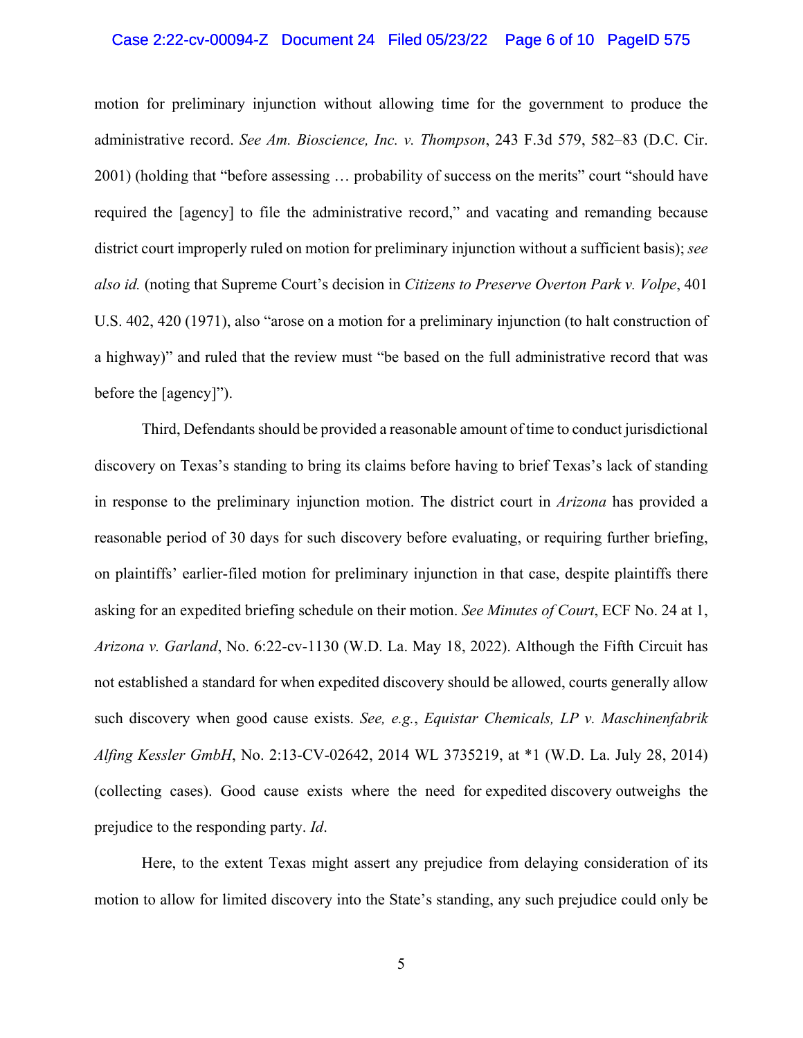#### Case 2:22-cv-00094-Z Document 24 Filed 05/23/22 Page 6 of 10 PageID 575

motion for preliminary injunction without allowing time for the government to produce the administrative record. *See Am. Bioscience, Inc. v. Thompson*, 243 F.3d 579, 582–83 (D.C. Cir. 2001) (holding that "before assessing … probability of success on the merits" court "should have required the [agency] to file the administrative record," and vacating and remanding because district court improperly ruled on motion for preliminary injunction without a sufficient basis); *see also id.* (noting that Supreme Court's decision in *Citizens to Preserve Overton Park v. Volpe*, 401 U.S. 402, 420 (1971), also "arose on a motion for a preliminary injunction (to halt construction of a highway)" and ruled that the review must "be based on the full administrative record that was before the [agency]").

Third, Defendants should be provided a reasonable amount of time to conduct jurisdictional discovery on Texas's standing to bring its claims before having to brief Texas's lack of standing in response to the preliminary injunction motion. The district court in *Arizona* has provided a reasonable period of 30 days for such discovery before evaluating, or requiring further briefing, on plaintiffs' earlier-filed motion for preliminary injunction in that case, despite plaintiffs there asking for an expedited briefing schedule on their motion. *See Minutes of Court*, ECF No. 24 at 1, *Arizona v. Garland*, No. 6:22-cv-1130 (W.D. La. May 18, 2022). Although the Fifth Circuit has not established a standard for when expedited discovery should be allowed, courts generally allow such discovery when good cause exists. *See, e.g.*, *Equistar Chemicals, LP v. Maschinenfabrik Alfing Kessler GmbH*, No. 2:13-CV-02642, 2014 WL 3735219, at \*1 (W.D. La. July 28, 2014) (collecting cases). Good cause exists where the need for expedited discovery outweighs the prejudice to the responding party. *Id*.

Here, to the extent Texas might assert any prejudice from delaying consideration of its motion to allow for limited discovery into the State's standing, any such prejudice could only be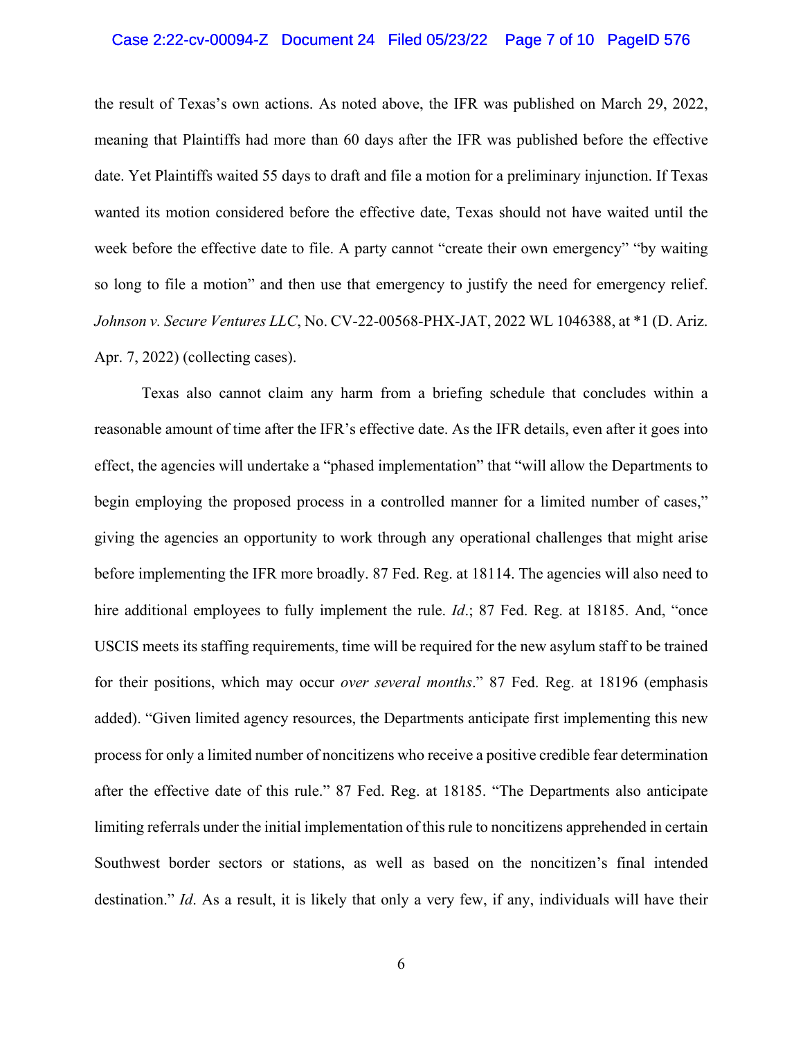## Case 2:22-cv-00094-Z Document 24 Filed 05/23/22 Page 7 of 10 PageID 576

the result of Texas's own actions. As noted above, the IFR was published on March 29, 2022, meaning that Plaintiffs had more than 60 days after the IFR was published before the effective date. Yet Plaintiffs waited 55 days to draft and file a motion for a preliminary injunction. If Texas wanted its motion considered before the effective date, Texas should not have waited until the week before the effective date to file. A party cannot "create their own emergency" "by waiting so long to file a motion" and then use that emergency to justify the need for emergency relief. *Johnson v. Secure Ventures LLC*, No. CV-22-00568-PHX-JAT, 2022 WL 1046388, at \*1 (D. Ariz. Apr. 7, 2022) (collecting cases).

Texas also cannot claim any harm from a briefing schedule that concludes within a reasonable amount of time after the IFR's effective date. As the IFR details, even after it goes into effect, the agencies will undertake a "phased implementation" that "will allow the Departments to begin employing the proposed process in a controlled manner for a limited number of cases," giving the agencies an opportunity to work through any operational challenges that might arise before implementing the IFR more broadly. 87 Fed. Reg. at 18114. The agencies will also need to hire additional employees to fully implement the rule. *Id*.; 87 Fed. Reg. at 18185. And, "once USCIS meets its staffing requirements, time will be required for the new asylum staff to be trained for their positions, which may occur *over several months*." 87 Fed. Reg. at 18196 (emphasis added). "Given limited agency resources, the Departments anticipate first implementing this new process for only a limited number of noncitizens who receive a positive credible fear determination after the effective date of this rule." 87 Fed. Reg. at 18185. "The Departments also anticipate limiting referrals under the initial implementation of this rule to noncitizens apprehended in certain Southwest border sectors or stations, as well as based on the noncitizen's final intended destination." *Id*. As a result, it is likely that only a very few, if any, individuals will have their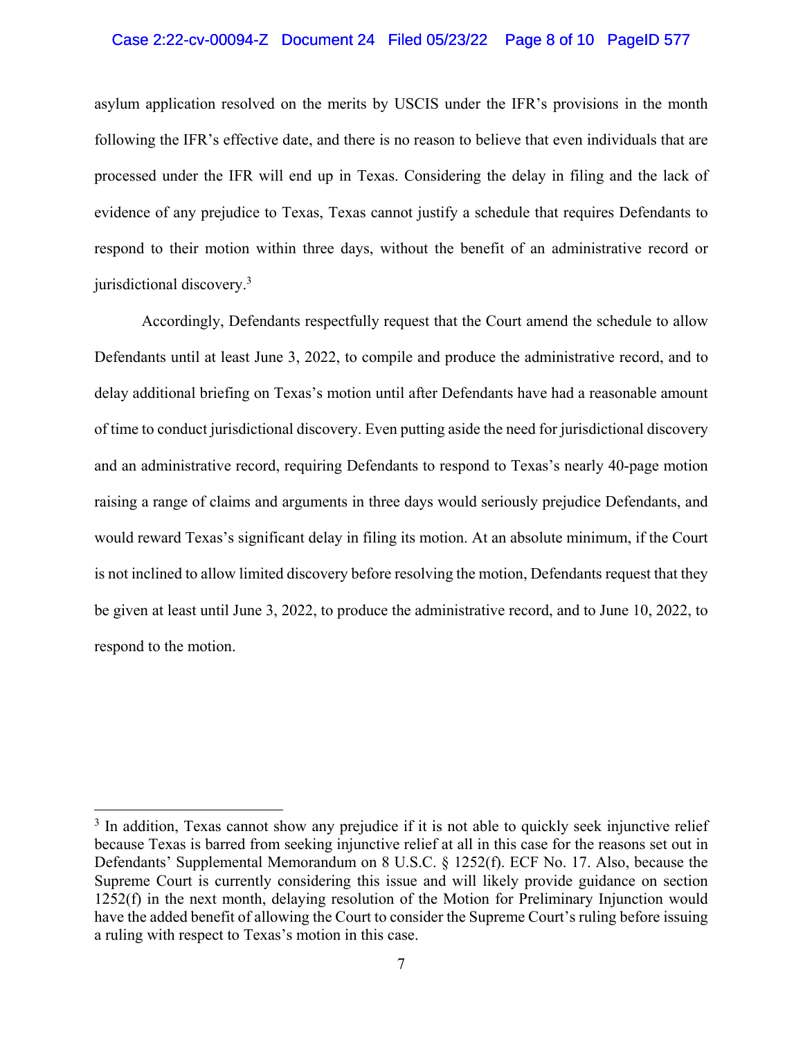## Case 2:22-cv-00094-Z Document 24 Filed 05/23/22 Page 8 of 10 PageID 577

asylum application resolved on the merits by USCIS under the IFR's provisions in the month following the IFR's effective date, and there is no reason to believe that even individuals that are processed under the IFR will end up in Texas. Considering the delay in filing and the lack of evidence of any prejudice to Texas, Texas cannot justify a schedule that requires Defendants to respond to their motion within three days, without the benefit of an administrative record or jurisdictional discovery.3

Accordingly, Defendants respectfully request that the Court amend the schedule to allow Defendants until at least June 3, 2022, to compile and produce the administrative record, and to delay additional briefing on Texas's motion until after Defendants have had a reasonable amount of time to conduct jurisdictional discovery. Even putting aside the need for jurisdictional discovery and an administrative record, requiring Defendants to respond to Texas's nearly 40-page motion raising a range of claims and arguments in three days would seriously prejudice Defendants, and would reward Texas's significant delay in filing its motion. At an absolute minimum, if the Court is not inclined to allow limited discovery before resolving the motion, Defendants request that they be given at least until June 3, 2022, to produce the administrative record, and to June 10, 2022, to respond to the motion.

 $\overline{a}$ 

<sup>&</sup>lt;sup>3</sup> In addition, Texas cannot show any prejudice if it is not able to quickly seek injunctive relief because Texas is barred from seeking injunctive relief at all in this case for the reasons set out in Defendants' Supplemental Memorandum on 8 U.S.C. § 1252(f). ECF No. 17. Also, because the Supreme Court is currently considering this issue and will likely provide guidance on section 1252(f) in the next month, delaying resolution of the Motion for Preliminary Injunction would have the added benefit of allowing the Court to consider the Supreme Court's ruling before issuing a ruling with respect to Texas's motion in this case.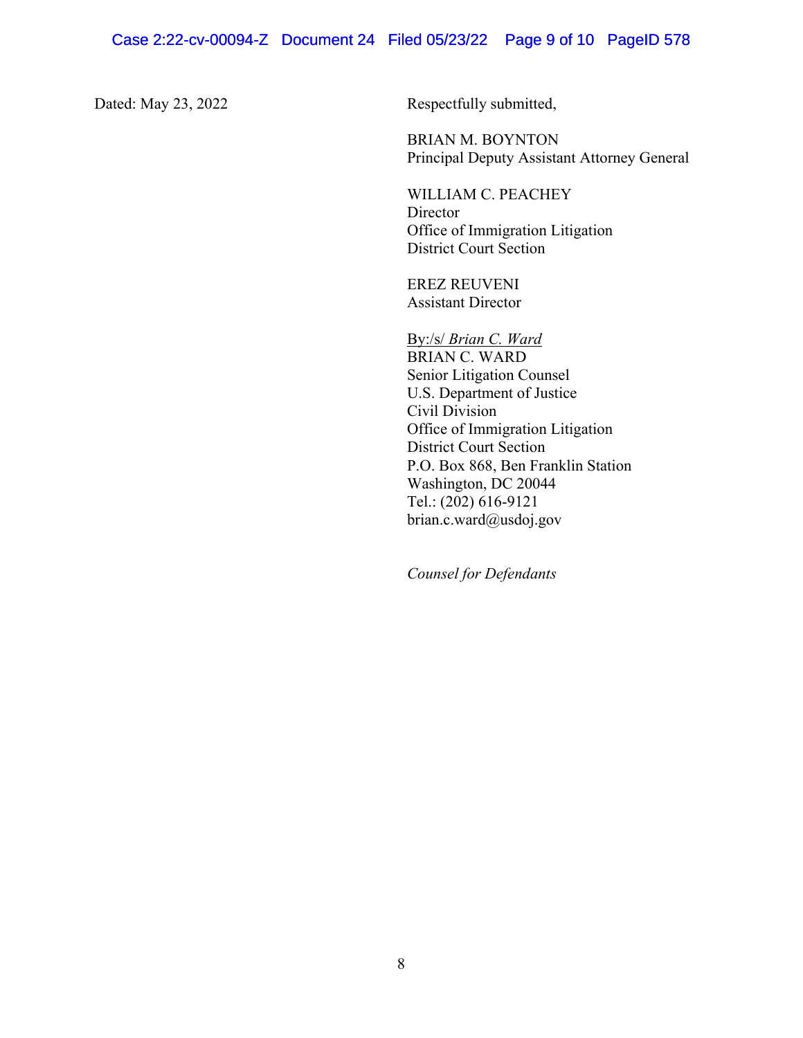Dated: May 23, 2022 Respectfully submitted,

 BRIAN M. BOYNTON Principal Deputy Assistant Attorney General

WILLIAM C. PEACHEY **Director** Office of Immigration Litigation District Court Section

EREZ REUVENI Assistant Director

 By:/s/ *Brian C. Ward*  BRIAN C. WARD Senior Litigation Counsel U.S. Department of Justice Civil Division Office of Immigration Litigation District Court Section P.O. Box 868, Ben Franklin Station Washington, DC 20044 Tel.: (202) 616-9121 brian.c.ward@usdoj.gov

*Counsel for Defendants*